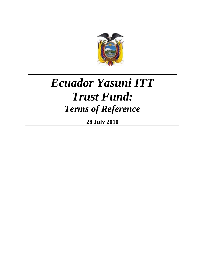

# *Ecuador Yasuni ITT Trust Fund: Terms of Reference*

**28 July 2010**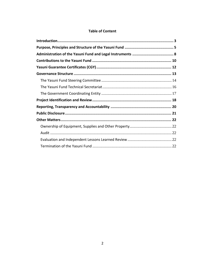#### **Table of Content**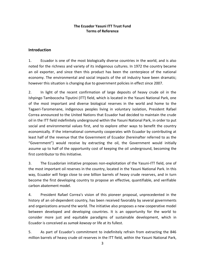#### **The Ecuador Yasuni ITT Trust Fund Terms of Reference**

#### <span id="page-2-0"></span>**Introduction**

1. Ecuador is one of the most biologically diverse countries in the world, and is also noted for the richness and variety of its indigenous cultures. In 1972 the country became an oil exporter, and since then this product has been the centerpiece of the national economy. The environmental and social impacts of the oil industry have been dramatic; however this situation is changing due to government policies in effect since 2007.

2. In light of the recent confirmation of large deposits of heavy crude oil in the Ishpingo Tambococha Tiputini (ITT) field, which is located in the Yasuni National Park, one of the most important and diverse biological reserves in the world and home to the Tagaeri-Taromenane, indigenous peoples living in voluntary isolation, President Rafael Correa announced to the United Nations that Ecuador had decided to maintain the crude oil in the ITT field indefinitely underground within the Yasuni National Park, in order to put social and environmental values first, and to explore other ways to benefit the country economically. If the international community cooperates with Ecuador by contributing at least half of the revenue that the Government of Ecuador (hereinafter referred to as the "Government") would receive by extracting the oil, the Government would initially assume up to half of the opportunity cost of keeping the oil underground, becoming the first contributor to this Initiative.

3. The Ecuadorian initiative proposes non-exploitation of the Yasuni-ITT field, one of the most important oil reserves in the country, located in the Yasuni National Park. In this way, Ecuador will forgo close to one billion barrels of heavy crude reserves, and in turn become the first developing country to propose an effective, quantifiable, and verifiable carbon abatement model.

4. President Rafael Correa's vision of this pioneer proposal, unprecedented in the history of an oil-dependent country, has been received favorably by several governments and organizations around the world. The initiative also proposes a new cooperative model between developed and developing countries. It is an opportunity for the world to consider more just and equitable paradigms of sustainable development, which in Ecuador is conceived as *sumak kawsay* or life at its fullest.

5. As part of Ecuador's commitment to indefinitely refrain from extracting the 846 million barrels of heavy crude oil reserves in the ITT field, within the Yasuni National Park,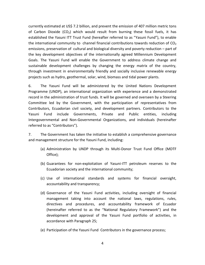currently estimated at US\$ 7.2 billion, and prevent the emission of 407 million metric tons of Carbon Dioxide (CO<sub>2</sub>) which would result from burning these fossil fuels, it has established the Yasuni ITT Trust Fund (hereafter referred to as "Yasuni Fund"), to enable the international community to channel financial contributions towards reduction of  $CO<sub>2</sub>$ emissions, preservation of cultural and biological diversity and poverty reduction – part of the key development objectives of the internationally agreed Millennium Development Goals. The Yasuni Fund will enable the Government to address climate change and sustainable development challenges by changing the energy matrix of the country, through investment in environmentally friendly and socially inclusive renewable energy projects such as hydro, geothermal, solar, wind, biomass and tidal power plants.

6. The Yasuni Fund will be administered by the United Nations Development Programme (UNDP), an international organization with experience and a demonstrated record in the administration of trust funds. It will be governed and overseen by a Steering Committee led by the Government, with the participation of representatives from Contributors, Ecuadorian civil society, and development partners. Contributors to the Yasuni Fund include Governments, Private and Public entities, including Intergovernmental and Non-Governmental Organizations, and individuals (hereinafter referred to as "Contributors").

7. The Government has taken the initiative to establish a comprehensive governance and management structure for the Yasuni Fund, including:

- (a) Administration by UNDP through its Multi-Donor Trust Fund Office (MDTF Office);
- (b) Guarantees for non-exploitation of Yasuni-ITT petroleum reserves to the Ecuadorian society and the international community;
- (c) Use of international standards and systems for financial oversight, accountability and transparency;
- (d) Governance of the Yasuni Fund activities, including oversight of financial management taking into account the national laws, regulations, rules, directives and procedures, and accountability framework of Ecuador (hereinafter referred to as the "National Regulatory Framework") and the development and approval of the Yasuni Fund portfolio of activities, in accordance with Paragraph 25;
- (e) Participation of the Yasuni Fund Contributors in the governance process;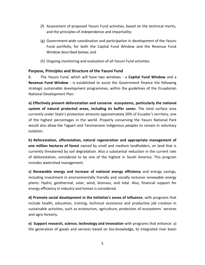- (f) Assessment of proposed Yasuni Fund activities, based on the technical merits, and the principles of independence and impartiality;
- (g) Government-wide coordination and participation in development of the Yasuni Fund portfolio, for both the Capital Fund Window and the Revenue Fund Window described below; and
- (h) Ongoing monitoring and evaluation of all Yasuni Fund activities.

# <span id="page-4-0"></span>**Purpose, Principles and Structure of the Yasuni Fund**

8. The Yasuni Fund, which will have two windows - a **Capital Fund Window** and a **Revenue Fund Window** - is established to assist the Government finance the following strategic sustainable development programmes, within the guidelines of the Ecuadorian National Development Plan:

**a) Effectively prevent deforestation and conserve ecosystems, particularly the national system of natural protected areas, including its buffer zones**. The total surface area currently under State's protection amounts approximately 20% of Ecuador's territory, one of the highest percentages in the world. Properly conserving the Yasuni National Park would also allow the Tagaeri and Taromenane indigenous peoples to remain in voluntary isolation.

**b) Reforestation, afforestation, natural regeneration and appropriate management of one million hectares of forest** owned by small and medium landholders, on land that is currently threatened by soil degradation. Also a substantial reduction in the current rate of deforestation, considered to be one of the highest in South America. This program includes watershed management.

**c) Renewable energy and increase of national energy efficiency** and energy savings, including investment in environmentally friendly and socially inclusive renewable energy plants: Hydro, geothermal, solar, wind, biomass, and tidal. Also, financial support for energy efficiency in industry and homes is considered.

**d) Promote social development in the Initiative's zones of influence**, with programs that include health, education, training, technical assistance and productive job creation in sustainable activities, such as ecotourism, agriculture, protection of ecosystems´ services and agro-forestry.

**e) Support research, science, technology and innovation** with programs that enhance: a) the generation of goods and services based on bio-knowledge, b) integrated river basin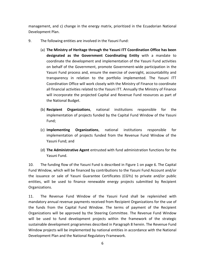management, and c) change in the energy matrix, prioritized in the Ecuadorian National Development Plan.

- 9. The following entities are involved in the Yasuni Fund:
	- (a) **The Ministry of Heritage through the Yasuni ITT Coordination Office has been designated as the Government Coordinating Entity** with a mandate to coordinate the development and implementation of the Yasuni Fund activities on behalf of the Government, promote Government-wide participation in the Yasuni Fund process and, ensure the exercise of oversight, accountability and transparency in relation to the portfolio implemented. The Yasuni ITT Coordination Office will work closely with the Ministry of Finance to coordinate all financial activities related to the Yasuni ITT. Annually the Ministry of Finance will incorporate the projected Capital and Revenue Fund resources as part of the National Budget.
	- (b) **Recipient Organizations**, national institutions responsible for the implementation of projects funded by the Capital Fund Window of the Yasuni Fund;
	- (c) **Implementing Organizations**, national institutions responsible for implementation of projects funded from the Revenue Fund Window of the Yasuni Fund; and
	- (d) **The Administrative Agent** entrusted with fund administration functions for the Yasuni Fund.

10. The funding flow of the Yasuni Fund is described in Figure 1 on page 6. The Capital Fund Window, which will be financed by contributions to the Yasuni Fund Account and/or the issuance or sale of Yasuni Guarantee Certificates (CGYs) to private and/or public entities, will be used to finance renewable energy projects submitted by Recipient Organizations.

11. The Revenue Fund Window of the Yasuni Fund shall be replenished with mandatory annual revenue payments received from Recipient Organizations for the use of the funds from the Capital Fund Window. The terms of payment of the Recipient Organizations will be approved by the Steering Committee. The Revenue Fund Window will be used to fund development projects within the framework of the strategic sustainable development programmes described in Paragraph 8 herein. The Revenue Fund Window projects will be implemented by national entities in accordance with the National Development Plan and the National Regulatory Framework.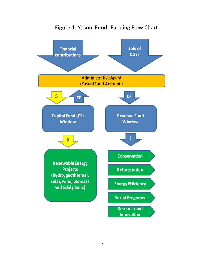

# Figure 1: Yasuni Fund- Funding Flow Chart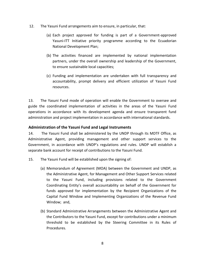- 12. The Yasuni Fund arr*a*ngements aim to ensure, in particular, that:
	- (a) Each project approved for funding is part of a Government-approved Yasuni-ITT Initiative priority programme according to the Ecuadorian National Development Plan;
	- (b) The activities financed are implemented by national implementation partners, under the overall ownership and leadership of the Government, to ensure sustainable local capacities;
	- (c) Funding and implementation are undertaken with full transparency and accountability, prompt delivery and efficient utilization of Yasuni Fund resources.

13. The Yasuni Fund mode of operation will enable the Government to oversee and guide the coordinated implementation of activities in the areas of the Yasuni Fund operations in accordance with its development agenda and ensure transparent fund administration and project implementation in accordance with international standards.

#### <span id="page-7-0"></span>**Administration of the Yasuni Fund and Legal Instruments**

14. The Yasuni Fund shall be administered by the UNDP through its MDTF Office, as Administrative Agent, providing management and other support services to the Government, in accordance with UNDP's regulations and rules. UNDP will establish a separate bank account for receipt of contributions to the Yasuni Fund.

- 15. The Yasuni Fund will be established upon the signing of:
	- (a) Memorandum of Agreement (MOA) between the Government and UNDP, as the Administrative Agent, for Management and Other Support Services related to the Yasuni Fund, including provisions related to the Government Coordinating Entity's overall accountability on behalf of the Government for funds approved for implementation by the Recipient Organizations of the Capital Fund Window and Implementing Organizations of the Revenue Fund Window; and,
	- (b) Standard Administrative Arrangements between the Administrative Agent and the Contributors to the Yasuni Fund, except for contributions under a minimum threshold to be established by the Steering Committee in its Rules of Procedures.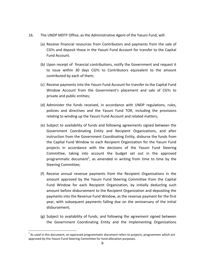- 16. The UNDP MDTF Office, as the Administrative Agent of the Yasuni Fund, will:
	- (a) Receive financial resources from Contributors and payments from the sale of CGYs and deposit those in the Yasuni Fund Account for transfer to the Capital Fund Account.
	- (b) Upon receipt of financial contributions, notify the Government and request it to issue within 30 days CGYs to Contributors equivalent to the amount contributed by each of them;
	- (c) Receive payments into the Yasuni Fund Account for transfer to the Capital Fund Window Account from the Government's placement and sale of CGYs to private and public entities;
	- (d) Administer the funds received, in accordance with UNDP regulations, rules, policies and directives and the Yasuni Fund TOR, including the provisions relating to winding up the Yasuni Fund Account and related matters;
	- (e) Subject to availability of funds and following agreements signed between the Government Coordinating Entity and Recipient Organizations, and after instruction from the Government Coordinating Entity, disburse the funds from the Capital Fund Window to each Recipient Organization for the Yasuni Fund projects in accordance with the decisions of the Yasuni Fund Steering Committee, taking into account the budget set out in the approved programmatic document<sup>1</sup>, as amended in writing from time to time by the Steering Committee;
	- (f) Receive annual revenue payments from the Recipient Organizations in the amount approved by the Yasuni Fund Steering Committee from the Capital Fund Window for each Recipient Organization, by initially deducting such amount before disbursement to the Recipient Organization and depositing the payments into the Revenue Fund Window, as the revenue payment for the first year, with subsequent payments falling due on the anniversary of the initial disbursement;
	- (g) Subject to availability of funds, and following the agreement signed between the Government Coordinating Entity and the Implementing Organizations

 $\overline{a}$ 

 $<sup>1</sup>$  As used in this document, an approved programmatic document refers to projects, programmes which are</sup> approved by the Yasuni Fund Steering Committee for fund allocation purposes.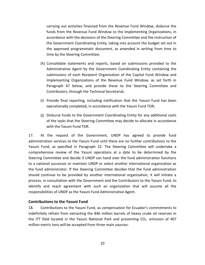carrying out activities financed from the Revenue Fund Window, disburse the funds from the Revenue Fund Window to the Implementing Organizations, in accordance with the decisions of the Steering Committee and the instruction of the Government Coordinating Entity, taking into account the budget set out in the approved programmatic document, as amended in writing from time to time by the Steering Committee;

- (h) Consolidate statements and reports, based on submissions provided to the Administrative Agent by the Government Coordinating Entity containing the submissions of each Recipient Organization of the Capital Fund Window and Implementing Organizations of the Revenue Fund Window, as set forth in Paragraph 47 below, and provide these to the Steering Committee and Contributors, through the Technical Secretariat;
- (i) Provide final reporting, including notification that the Yasuni Fund has been operationally completed, in accordance with the Yasuni Fund TOR;
- (j) Disburse funds to the Government Coordinating Entity for any additional costs of the tasks that the Steering Committee may decide to allocate in accordance with the Yasuni Fund TOR.

17. At the request of the Government, UNDP has agreed to provide fund administration services to the Yasuni Fund until there are no further contributions to the Yasuni Fund, as specified in Paragraph 22. The Steering Committee will undertake a comprehensive review of the Yasuni operations at a date to be determined by the Steering Committee and decide if UNDP can hand over the fund administration functions to a national successor or maintain UNDP or select another international organization as the fund administrator. If the Steering Committee decides that the fund administration should continue to be provided by another international organization, it will initiate a process, in consultation with the Government and the Contributors to the Yasuni Fund, to identify and reach agreement with such an organization that will assume all the responsibilities of UNDP as the Yasuni Fund Administrative Agent.

#### <span id="page-9-0"></span>**Contributions to the Yasuni Fund**

18. Contributions to the Yasuni Fund, as compensation for Ecuador's commitments to indefinitely refrain from extracting the 846 million barrels of heavy crude oil reserves in the ITT field located in the Yasuni National Park and preventing  $CO<sub>2</sub>$  emission of 407 million metric tons will be accepted from three main sources: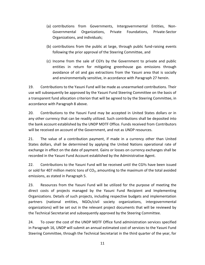- (a) contributions from Governments, Intergovernmental Entities, Non-Governmental Organizations, Private Foundations, Private-Sector Organizations, and individuals;
- (b) contributions from the public at large, through public fund-raising events following the prior approval of the Steering Committee, and
- (c) Income from the sale of CGYs by the Government to private and public entities in return for mitigating greenhouse gas emissions through avoidance of oil and gas extractions from the Yasuni area that is socially and environmentally sensitive, in accordance with Paragraph 27 herein.

19. Contributions to the Yasuni Fund will be made as unearmarked contributions. Their use will subsequently be approved by the Yasuni Fund Steering Committee on the basis of a transparent fund allocation criterion that will be agreed to by the Steering Committee, in accordance with Paragraph 8 above.

20. Contributions to the Yasuni Fund may be accepted in United States dollars or in any other currency that can be readily utilized. Such contributions shall be deposited into the bank account established by the UNDP MDTF Office. Funds received from Contributors will be received on account of the Government, and not as UNDP resources.

21. The value of a contribution payment, if made in a currency other than United States dollars, shall be determined by applying the United Nations operational rate of exchange in effect on the date of payment. Gains or losses on currency exchanges shall be recorded in the Yasuni Fund Account established by the Administrative Agent.

22. Contributions to the Yasuni Fund will be received until the CGYs have been issued or sold for 407 million metric tons of  $CO<sub>2</sub>$ , amounting to the maximum of the total avoided emissions, as stated in Paragraph 5.

23. Resources from the Yasuni Fund will be utilized for the purpose of meeting the direct costs of projects managed by the Yasuni Fund Recipient and Implementing Organizations. Details of such projects, including respective budgets and implementation partners (national entities, NGOs/civil society organizations, intergovernmental organizations) will be set out in the relevant project documents that will be reviewed by the Technical Secretariat and subsequently approved by the Steering Committee.

24. To cover the cost of the UNDP MDTF Office fund administration services specified in Paragraph 16, UNDP will submit an annual estimated cost of services to the Yasuni Fund Steering Committee, through the Technical Secretariat in the third quarter of the year, for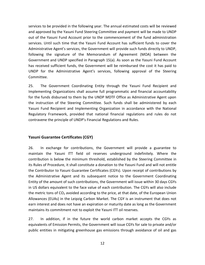services to be provided in the following year. The annual estimated costs will be reviewed and approved by the Yasuni Fund Steering Committee and payment will be made to UNDP out of the Yasuni Fund Account prior to the commencement of the fund administration services. Until such time that the Yasuni Fund Account has sufficient funds to cover the Administrative Agent's services, the Government will provide such funds directly to UNDP, following the signature of the Memorandum of Agreement (MOA) between the Government and UNDP specified in Paragraph 15(a). As soon as the Yasuni Fund Account has received sufficient funds, the Government will be reimbursed the cost it has paid to UNDP for the Administrative Agent's services, following approval of the Steering Committee.

25. The Government Coordinating Entity through the Yasuni Fund Recipient and Implementing Organizations shall assume full programmatic and financial accountability for the funds disbursed to them by the UNDP MDTF Office as Administrative Agent upon the instruction of the Steering Committee. Such funds shall be administered by each Yasuni Fund Recipient and Implementing Organization in accordance with the National Regulatory Framework, provided that national financial regulations and rules do not contravene the principle of UNDP's Financial Regulations and Rules.

#### <span id="page-11-0"></span>**Yasuni Guarantee Certificates (CGY)**

26. In exchange for contributions, the Government will provide a guarantee to maintain the Yasuni ITT field oil reserves underground indefinitely. Where the contribution is below the minimum threshold, established by the Steering Committee in its Rules of Procedure, it shall constitute a donation to the Yasuni Fund and will not entitle the Contributor to Yasuni Guarantee Certificates (CGYs). Upon receipt of contributions by the Administrative Agent and its subsequent notice to the Government Coordinating Entity of the amount of such contributions, the Government will issue within 30 days CGYs in US dollars equivalent to the face value of each contribution. The CGYs will also include the metric tons of  $CO<sub>2</sub>$  avoided according to the price, at that date, of the European Union Allowances (EUAs) in the Leipzig Carbon Market. The CGY is an instrument that does not earn interest and does not have an expiration or maturity date as long as the Government maintains its commitment not to exploit the Yasuni ITT oil reserves.

27. In addition, if in the future the world carbon market accepts the CGYs as equivalents of Emission Permits, the Government will issue CGYs for sale to private and/or public entities in mitigating greenhouse gas emissions through avoidance of oil and gas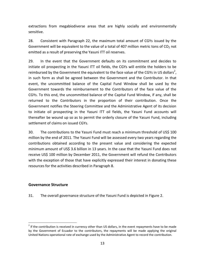extractions from megabiodiverse areas that are highly socially and environmentally sensitive.

28. Consistent with Paragraph 22, the maximum total amount of CGYs issued by the Government will be equivalent to the value of a total of 407 million metric tons of  $CO<sub>2</sub>$  not emitted as a result of preserving the Yasuni ITT oil reserves.

29. In the event that the Government defaults on its commitment and decides to initiate oil prospecting in the Yasuni ITT oil fields, the CGYs will entitle the holders to be reimbursed by the Government the equivalent to the face value of the CGYs in US dollars<sup>2</sup>, in such form as shall be agreed between the Government and the Contributor. In that event, the uncommitted balance of the Capital Fund Window shall be used by the Government towards the reimbursement to the Contributors of the face value of the CGYs. To this end, the uncommitted balance of the Capital Fund Window, if any, shall be returned to the Contributors in the proportion of their contribution. Once the Government notifies the Steering Committee and the Administrative Agent of its decision to initiate oil prospecting in the Yasuni ITT oil fields, the Yasuni Fund accounts will thereafter be wound up so as to permit the orderly closure of the Yasuni Fund, including settlement of claims on issued CGYs.

30. The contributions to the Yasuni Fund must reach a minimum threshold of US\$ 100 million by the end of 2011. The Yasuni Fund will be assessed every two years regarding the contributions obtained according to the present value and considering the expected minimum amount of US\$ 3.6 billion in 13 years. In the case that the Yasuni Fund does not receive US\$ 100 million by December 2011, the Government will refund the Contributors with the exception of those that have explicitly expressed their interest in donating these resources for the activities described in Paragraph 8.

#### <span id="page-12-0"></span>**Governance Structure**

 $\overline{a}$ 

31. The overall governance structure of the Yasuni Fund is depicted in Figure 2.

 $2$  If the contribution is received in currency other than US dollars, in the event repayments have to be made by the Government of Ecuador to the contributors, the repayments will be made applying the original United Nations operational rate of exchange used by the Administrative Agent to record the contribution.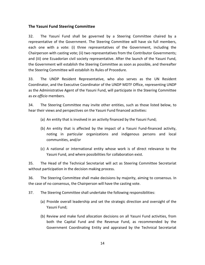#### <span id="page-13-0"></span>**The Yasuni Fund Steering Committee**

32. The Yasuní Fund shall be governed by a Steering Committee chaired by a representative of the Government. The Steering Committee will have six full members, each one with a vote: (i) three representatives of the Government, including the Chairperson with casting vote; (ii) two representatives from the Contributor Governments; and (iii) one Ecuadorian civil society representative. After the launch of the Yasuni Fund, the Government will establish the Steering Committee as soon as possible, and thereafter the Steering Committee will establish its Rules of Procedure.

33. The UNDP Resident Representative, who also serves as the UN Resident Coordinator, and the Executive Coordinator of the UNDP MDTF Office, representing UNDP as the Administrative Agent of the Yasuni Fund, will participate in the Steering Committee as *ex officio* members.

34. The Steering Committee may invite other entities, such as those listed below, to hear their views and perspectives on the Yasuni Fund financed activities:

- (a) An entity that is involved in an activity financed by the Yasuni Fund;
- (b) An entity that is affected by the impact of a Yasuni Fund-financed activity, noting in particular organizations and indigenous persons and local communities, and/or
- (c) A national or international entity whose work is of direct relevance to the Yasuni Fund, and where possibilities for collaboration exist.

35. The Head of the Technical Secretariat will act as Steering Committee Secretariat without participation in the decision making process.

36. The Steering Committee shall make decisions by majority, aiming to consensus. In the case of no consensus, the Chairperson will have the casting vote.

37. The Steering Committee shall undertake the following responsibilities:

- (a) Provide overall leadership and set the strategic direction and oversight of the Yasuni Fund;
- (b) Review and make fund allocation decisions on all Yasuni Fund activities, from both the Capital Fund and the Revenue Fund, as recommended by the Government Coordinating Entity and appraised by the Technical Secretariat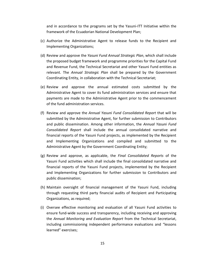and in accordance to the programs set by the Yasuni-ITT Initiative within the framework of the Ecuadorian National Development Plan;

- (c) Authorize the Administrative Agent to release funds to the Recipient and Implementing Organizations;
- (d) Review and approve the *Yasuni Fund Annual Strategic Plan*, which shall include the proposed budget framework and programme priorities for the Capital Fund and Revenue Fund, the Technical Secretariat and other Yasuni Fund entities as relevant. The *Annual Strategic Plan* shall be prepared by the Government Coordinating Entity, in collaboration with the Technical Secretariat;
- (e) Review and approve the annual estimated costs submitted by the Administrative Agent to cover its fund administration services and ensure that payments are made to the Administrative Agent prior to the commencement of the fund administration services.
- (f) Review and approve the *Annual Yasuni Fund Consolidated Report* that will be submitted by the Administrative Agent, for further submission to Contributors and public dissemination. Among other information, the *Annual Yasuni Fund Consolidated Report* shall include the annual consolidated narrative and financial reports of the Yasuni Fund projects, as implemented by the Recipient and Implementing Organizations and compiled and submitted to the Administrative Agent by the Government Coordinating Entity;
- (g) Review and approve, as applicable, the *Final Consolidated Reports* of the Yasuni Fund activities which shall include the final consolidated narrative and financial reports of the Yasuni Fund projects, implemented by the Recipient and Implementing Organizations for further submission to Contributors and public dissemination;
- (h) Maintain oversight of financial management of the Yasuni Fund, including through requesting third party financial audits of Recipient and Participating Organizations, as required;
- (i) Oversee effective monitoring and evaluation of all Yasuni Fund activities to ensure fund-wide success and transparency, including receiving and approving the *Annual Monitoring and Evaluation Report* from the Technical Secretariat, including commissioning independent performance evaluations and "lessons learned" exercises;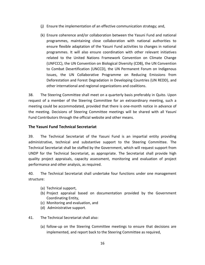- (j) Ensure the implementation of an effective communication strategy; and,
- (k) Ensure coherence and/or collaboration between the Yasuni Fund and national programmes, maintaining close collaboration with national authorities to ensure flexible adaptation of the Yasuni Fund activities to changes in national programmes. It will also ensure coordination with other relevant initiatives related to the United Nations Framework Convention on Climate Change (UNFCCC), the UN Convention on Biological Diversity (CDB), the UN Convention to Combat Desertification (UNCCD), the UN Permanent Forum on Indigenous Issues, the UN Collaborative Programme on Reducing Emissions from Deforestation and Forest Degradation in Developing Countries (UN REDD), and other international and regional organizations and coalitions.

38. The Steering Committee shall meet on a quarterly basis preferably in Quito. Upon request of a member of the Steering Committee for an extraordinary meeting, such a meeting could be accommodated, provided that there is one-month notice in advance of the meeting. Decisions of Steering Committee meetings will be shared with all Yasuní Fund Contributors through the official website and other means.

#### <span id="page-15-0"></span>**The Yasuni Fund Technical Secretariat**

39. The Technical Secretariat of the Yasuni Fund is an impartial entity providing administrative, technical and substantive support to the Steering Committee. The Technical Secretariat shall be staffed by the Government, which will request support from UNDP for the Technical Secretariat, as appropriate. The Secretariat shall provide high quality project appraisals, capacity assessment, monitoring and evaluation of project performance and other analysis, as required.

40. The Technical Secretariat shall undertake four functions under one management structure:

- (a) Technical support,
- (b) Project appraisal based on documentation provided by the Government Coordinating Entity,
- (c) Monitoring and evaluation, and
- (d) Administrative support.
- 41. The Technical Secretariat shall also:
	- (a) follow-up on the Steering Committee meetings to ensure that decisions are implemented, and report back to the Steering Committee as required,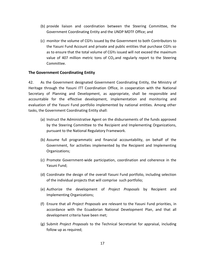- (b) provide liaison and coordination between the Steering Committee, the Government Coordinating Entity and the UNDP MDTF Office; and
- (c) monitor the volume of CGYs issued by the Government to both Contributors to the Yasuni Fund Account and private and public entities that purchase CGYs so as to ensure that the total volume of CGYs issued will not exceed the maximum value of 407 million metric tons of  $CO<sub>2</sub>$  and regularly report to the Steering Committee.

#### <span id="page-16-0"></span>**The Government Coordinating Entity**

42. As the Government designated Government Coordinating Entity, the Ministry of Heritage through the Yasuni ITT Coordination Office, in cooperation with the National Secretary of Planning and Development, as appropriate, shall be responsible and accountable for the effective development, implementation and monitoring and evaluation of the Yasuni Fund portfolio implemented by national entities. Among other tasks, the Government Coordinating Entity shall:

- (a) Instruct the Administrative Agent on the disbursements of the funds approved by the Steering Committee to the Recipient and Implementing Organizations, pursuant to the National Regulatory Framework.
- (b) Assume full programmatic and financial accountability, on behalf of the Government, for activities implemented by the Recipient and Implementing Organizations;
- (c) Promote Government-wide participation, coordination and coherence in the Yasuni Fund;
- (d) Coordinate the design of the overall Yasuni Fund portfolio, including selection of the individual projects that will comprise such portfolio;
- (e) Authorize the development of *Project Proposals* by Recipient and Implementing Organizations;
- (f) Ensure that all *Project Proposals* are relevant to the Yasuni Fund priorities, in accordance with the Ecuadorian National Development Plan, and that all development criteria have been met;
- (g) Submit *Project Proposals* to the Technical Secretariat for appraisal, including follow up as required;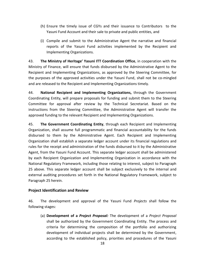- (h) Ensure the timely issue of CGYs and their issuance to Contributors to the Yasuni Fund Account and their sale to private and public entities, and
- (i) Compile and submit to the Administrative Agent the narrative and financial reports of the Yasuni Fund activities implemented by the Recipient and Implementing Organizations.

43. **The Ministry of Heritage' Yasuni ITT Coordination Office**, in cooperation with the Ministry of Finance, will ensure that funds disbursed by the Administrative Agent to the Recipient and Implementing Organizations, as approved by the Steering Committee, for the purposes of the approved activities under the Yasuni Fund, shall not be co-mingled and are released to the Recipient and Implementing Organizations timely.

44. **National Recipient and Implementing Organizations,** through the Government Coordinating Entity, will prepare proposals for funding and submit them to the Steering Committee for approval after review by the Technical Secretariat. Based on the instructions from the Steering Committee, the Administrative Agent will transfer the approved funding to the relevant Recipient and Implementing Organizations.

45. **The Government Coordinating Entity**, through each Recipient and Implementing Organization, shall assume full programmatic and financial accountability for the funds disbursed to them by the Administrative Agent. Each Recipient and Implementing Organization shall establish a separate ledger account under its financial regulations and rules for the receipt and administration of the funds disbursed to it by the Administrative Agent, from the Yasuni Fund Account. This separate ledger account shall be administered by each Recipient Organization and Implementing Organization in accordance with the National Regulatory Framework, including those relating to interest, subject to Paragraph 25 above. This separate ledger account shall be subject exclusively to the internal and external auditing procedures set forth in the National Regulatory Framework, subject to Paragraph 25 herein.

#### <span id="page-17-0"></span>**Project Identification and Review**

46. The development and approval of the Yasuni Fund *Projects* shall follow the following stages:

(a) **Development of a** *Project Proposal:* The development of a *Project Proposal* shall be authorized by the Government Coordinating Entity. The process and criteria for determining the composition of the portfolio and authorizing development of individual projects shall be determined by the Government, according to the established policy, priorities and procedures of the Yasuni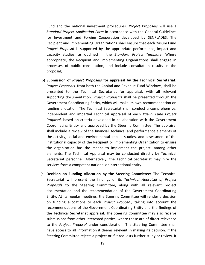Fund and the national investment procedures. *Project Proposals* will use a *Standard Project Application Form* in accordance with the General Guidelines for Investment and Foreign Cooperation developed by SENPLADES. The Recipient and Implementing Organizations shall ensure that each Yasuni Fund *Project Proposal* is supported by the appropriate performance, impact and capacity studies, as outlined in the *Standard Project Template*. Where appropriate, the Recipient and Implementing Organizations shall engage in processes of public consultation, and include consultation results in the proposal;

- (b) **Submission of** *Project Proposals* **for appraisal by the Technical Secretariat:** *Project Proposals,* from both the Capital and Revenue Fund Windows, shall be presented to the Technical Secretariat for appraisal, with all relevant supporting documentation. *Project Proposals* shall be presented through the Government Coordinating Entity, which will make its own recommendation on funding allocation. The Technical Secretariat shall conduct a comprehensive, independent and impartial Technical Appraisal of each *Yasuni Fund Project Proposal*, based on criteria developed in collaboration with the Government Coordinating Entity and approved by the Steering Committee. The appraisal shall include a review of the financial, technical and performance elements of the activity, social and environmental impact studies, and assessment of the institutional capacity of the Recipient or Implementing Organization to ensure the organization has the means to implement the project, among other elements. The Technical Appraisal may be conducted directly by Technical Secretariat personnel. Alternatively, the Technical Secretariat may hire the services from a competent national or international entity.
- (c) **Decision on Funding Allocation by the Steering Committee:** The Technical Secretariat will present the findings of its *Technical Appraisal of Project Proposals* to the Steering Committee, along with all relevant project documentation and the recommendation of the Government Coordinating Entity. At its regular meetings, the Steering Committee will render a decision on funding allocations to each *Project Proposal*, taking into account the recommendations of the Government Coordinating Entity and the findings of the Technical Secretariat appraisal. The Steering Committee may also receive submissions from other interested parties, where these are of direct relevance to the *Project Proposal* under consideration. The Steering Committee shall have access to all information it deems relevant in making its decision. If the Steering Committee rejects a project or if it requests further study or review. It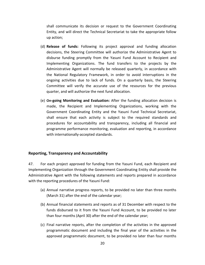shall communicate its decision or request to the Government Coordinating Entity, and will direct the Technical Secretariat to take the appropriate follow up action;

- (d) **Release of funds:** Following its project approval and funding allocation decisions, the Steering Committee will authorize the Administrative Agent to disburse funding promptly from the Yasuni Fund Account to Recipient and Implementing Organizations. The fund transfers to the projects by the Administrative Agent will normally be released quarterly, in accordance with the National Regulatory Framework, in order to avoid interruptions in the ongoing activities due to lack of funds. On a quarterly basis, the Steering Committee will verify the accurate use of the resources for the previous quarter, and will authorize the next fund allocation.
- (e) **On-going Monitoring and Evaluation:** After the funding allocation decision is made, the Recipient and Implementing Organizations, working with the Government Coordinating Entity and the Yasuni Fund Technical Secretariat, shall ensure that each activity is subject to the required standards and procedures for accountability and transparency, including all financial and programme performance monitoring, evaluation and reporting, in accordance with internationally-accepted standards.

#### <span id="page-19-0"></span>**Reporting, Transparency and Accountability**

47. For each project approved for funding from the Yasuni Fund, each Recipient and Implementing Organization through the Government Coordinating Entity shall provide the Administrative Agent with the following statements and reports prepared in accordance with the reporting procedures of the Yasuni Fund:

- (a) Annual narrative progress reports, to be provided no later than three months (March 31) after the end of the calendar year;
- (b) Annual financial statements and reports as of 31 December with respect to the funds disbursed to it from the Yasuni Fund Account, to be provided no later than four months (April 30) after the end of the calendar year;
- (c) Final narrative reports, after the completion of the activities in the approved programmatic document and including the final year of the activities in the approved programmatic document, to be provided no later than four months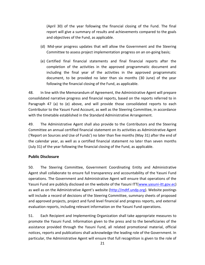(April 30) of the year following the financial closing of the Fund. The final report will give a summary of results and achievements compared to the goals and objectives of the Fund, as applicable.

- (d) Mid-year progress updates that will allow the Government and the Steering Committee to assess project implementation progress on an on-going basis;
- (e) Certified final financial statements and final financial reports after the completion of the activities in the approved programmatic document and including the final year of the activities in the approved programmatic document, to be provided no later than six months (30 June) of the year following the financial closing of the Fund, as applicable.

48. In line with the Memorandum of Agreement, the Administrative Agent will prepare consolidated narrative progress and financial reports, based on the reports referred to in Paragraph 47 (a) to (e) above, and will provide those consolidated reports to each Contributor to the Yasuni Fund Account, as well as the Steering Committee, in accordance with the timetable established in the Standard Administrative Arrangement.

49. The Administrative Agent shall also provide to the Contributors and the Steering Committee an annual certified financial statement on its activities as Administrative Agent ('Report on Sources and Use of Funds') no later than five months (May 31) after the end of the calendar year, as well as a certified financial statement no later than seven months (July 31) of the year following the financial closing of the Fund, as applicable.

#### <span id="page-20-0"></span>**Public Disclosure**

50. The Steering Committee, Government Coordinating Entity and Administrative Agent shall collaborate to ensure full transparency and accountability of the Yasuni Fund operations. The Government and Administrative Agent will ensure that operations of the Yasuni Fund are publicly disclosed on the website of the Yasuni ITT[\(www.yasuni-itt.gov.ec\)](http://www.yasuni-itt.gov.ec/) as well as on the Administrative Agent's website ([http://mdtf.undp.org\)](http://mdtf.undp.org/). Website postings will include a record of decisions of the Steering Committee, summary sheets of proposed and approved projects, project and fund level financial and progress reports, and external evaluation reports, including relevant information on the Yasuni Fund operations.

51. Each Recipient and Implementing Organization shall take appropriate measures to promote the Yasuni Fund. Information given to the press and to the beneficiaries of the assistance provided through the Yasuni Fund, all related promotional material, official notices, reports and publications shall acknowledge the leading role of the Government. In particular, the Administrative Agent will ensure that full recognition is given to the role of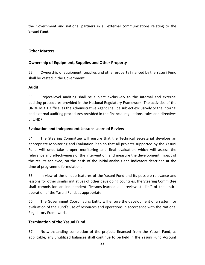the Government and national partners in all external communications relating to the Yasuni Fund.

# <span id="page-21-0"></span>**Other Matters**

# <span id="page-21-1"></span>**Ownership of Equipment, Supplies and Other Property**

52. Ownership of equipment, supplies and other property financed by the Yasuni Fund shall be vested in the Government.

### <span id="page-21-2"></span>**Audit**

53. Project-level auditing shall be subject exclusively to the internal and external auditing procedures provided in the National Regulatory Framework. The activities of the UNDP MDTF Office, as the Administrative Agent shall be subject exclusively to the internal and external auditing procedures provided in the financial regulations, rules and directives of UNDP.

# <span id="page-21-3"></span>**Evaluation and Independent Lessons Learned Review**

54. The Steering Committee will ensure that the Technical Secretariat develops an appropriate Monitoring and Evaluation Plan so that all projects supported by the Yasuni Fund will undertake proper monitoring and final evaluation which will assess the relevance and effectiveness of the intervention, and measure the development impact of the results achieved, on the basis of the initial analysis and indicators described at the time of programme formulation.

55. In view of the unique features of the Yasuni Fund and its possible relevance and lessons for other similar initiatives of other developing countries, the Steering Committee shall commission an independent "lessons-learned and review studies" of the entire operation of the Yasuni Fund, as appropriate.

56. The Government Coordinating Entity will ensure the development of a system for evaluation of the Fund's use of resources and operations in accordance with the National Regulatory Framework.

# <span id="page-21-4"></span>**Termination of the Yasuni Fund**

57. Notwithstanding completion of the projects financed from the Yasuni Fund, as applicable, any unutilized balances shall continue to be held in the Yasuni Fund Account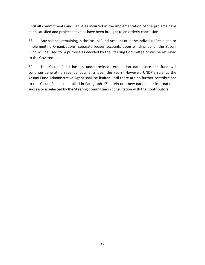until all commitments and liabilities incurred in the implementation of the projects have been satisfied and project activities have been brought to an orderly conclusion.

58. Any balance remaining in the Yasuni Fund Account or in the individual Recipient, or Implementing Organizations' separate ledger accounts upon winding up of the Yasuni Fund will be used for a purpose as decided by the Steering Committee or will be returned to the Government.

59. The Yasuni Fund has an undetermined termination date since the fund will continue generating revenue payments over the years. However, UNDP's role as the Yasuni Fund Administrative Agent shall be limited until there are no further contributions to the Yasuni Fund, as detailed in Paragraph 17 herein or a new national or international successor is selected by the Steering Committee in consultation with the Contributors.